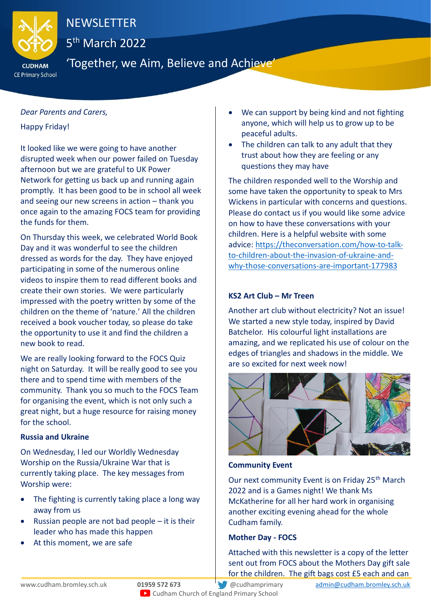

## NEWSLETTER

5<sup>th</sup> March 2022

CE Primary School

### 'Together, we Aim, Believe and Achieve'

#### *Dear Parents and Carers,*

Happy Friday!

It looked like we were going to have another disrupted week when our power failed on Tuesday afternoon but we are grateful to UK Power Network for getting us back up and running again promptly. It has been good to be in school all week and seeing our new screens in action – thank you once again to the amazing FOCS team for providing the funds for them.

On Thursday this week, we celebrated World Book Day and it was wonderful to see the children dressed as words for the day. They have enjoyed participating in some of the numerous online videos to inspire them to read different books and create their own stories. We were particularly impressed with the poetry written by some of the children on the theme of 'nature.' All the children received a book voucher today, so please do take the opportunity to use it and find the children a new book to read.

We are really looking forward to the FOCS Quiz night on Saturday. It will be really good to see you there and to spend time with members of the community. Thank you so much to the FOCS Team for organising the event, which is not only such a great night, but a huge resource for raising money for the school.

#### **Russia and Ukraine**

On Wednesday, I led our Worldly Wednesday Worship on the Russia/Ukraine War that is currently taking place. The key messages from Worship were:

- The fighting is currently taking place a long way away from us
- Russian people are not bad people it is their leader who has made this happen
- At this moment, we are safe
- We can support by being kind and not fighting anyone, which will help us to grow up to be peaceful adults.
- The children can talk to any adult that they trust about how they are feeling or any questions they may have

The children responded well to the Worship and some have taken the opportunity to speak to Mrs Wickens in particular with concerns and questions. Please do contact us if you would like some advice on how to have these conversations with your children. Here is a helpful website with some advice: [https://theconversation.com/how-to-talk](https://theconversation.com/how-to-talk-to-children-about-the-invasion-of-ukraine-and-why-those-conversations-are-important-177983)[to-children-about-the-invasion-of-ukraine-and](https://theconversation.com/how-to-talk-to-children-about-the-invasion-of-ukraine-and-why-those-conversations-are-important-177983)[why-those-conversations-are-important-177983](https://theconversation.com/how-to-talk-to-children-about-the-invasion-of-ukraine-and-why-those-conversations-are-important-177983)

#### **KS2 Art Club – Mr Treen**

Another art club without electricity? Not an issue! We started a new style today, inspired by David Batchelor. His colourful light installations are amazing, and we replicated his use of colour on the edges of triangles and shadows in the middle. We are so excited for next week now!



#### **Community Event**

Our next community Event is on Friday 25<sup>th</sup> March 2022 and is a Games night! We thank Ms McKatherine for all her hard work in organising another exciting evening ahead for the whole Cudham family.

#### **Mother Day - FOCS**

Attached with this newsletter is a copy of the letter sent out from FOCS about the Mothers Day gift sale for the children. The gift bags cost £5 each and can